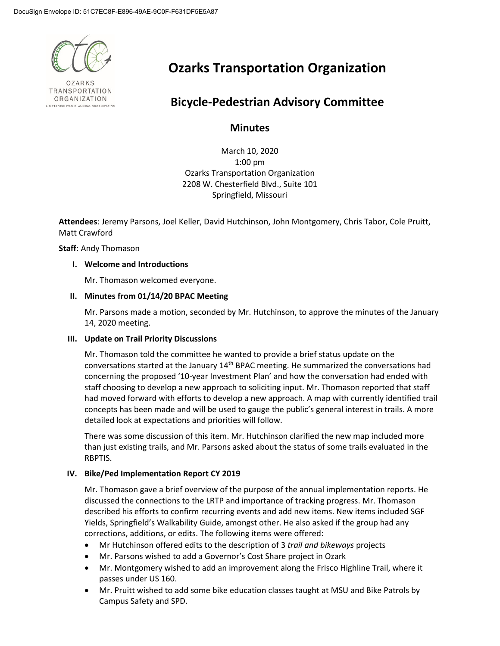

**OZARKS** TRANSPORTATION ORGANIZATION

# **Ozarks Transportation Organization**

## **Bicycle-Pedestrian Advisory Committee**

### **Minutes**

March 10, 2020 1:00 pm Ozarks Transportation Organization 2208 W. Chesterfield Blvd., Suite 101 Springfield, Missouri

**Attendees**: Jeremy Parsons, Joel Keller, David Hutchinson, John Montgomery, Chris Tabor, Cole Pruitt, Matt Crawford

**Staff**: Andy Thomason

#### **I. Welcome and Introductions**

Mr. Thomason welcomed everyone.

#### **II. Minutes from 01/14/20 BPAC Meeting**

Mr. Parsons made a motion, seconded by Mr. Hutchinson, to approve the minutes of the January 14, 2020 meeting.

#### **III. Update on Trail Priority Discussions**

Mr. Thomason told the committee he wanted to provide a brief status update on the conversations started at the January 14<sup>th</sup> BPAC meeting. He summarized the conversations had concerning the proposed '10-year Investment Plan' and how the conversation had ended with staff choosing to develop a new approach to soliciting input. Mr. Thomason reported that staff had moved forward with efforts to develop a new approach. A map with currently identified trail concepts has been made and will be used to gauge the public's general interest in trails. A more detailed look at expectations and priorities will follow.

There was some discussion of this item. Mr. Hutchinson clarified the new map included more than just existing trails, and Mr. Parsons asked about the status of some trails evaluated in the RBPTIS.

#### **IV. Bike/Ped Implementation Report CY 2019**

Mr. Thomason gave a brief overview of the purpose of the annual implementation reports. He discussed the connections to the LRTP and importance of tracking progress. Mr. Thomason described his efforts to confirm recurring events and add new items. New items included SGF Yields, Springfield's Walkability Guide, amongst other. He also asked if the group had any corrections, additions, or edits. The following items were offered:

- Mr Hutchinson offered edits to the description of 3 *trail and bikeways* projects
- Mr. Parsons wished to add a Governor's Cost Share project in Ozark
- Mr. Montgomery wished to add an improvement along the Frisco Highline Trail, where it passes under US 160.
- Mr. Pruitt wished to add some bike education classes taught at MSU and Bike Patrols by Campus Safety and SPD.